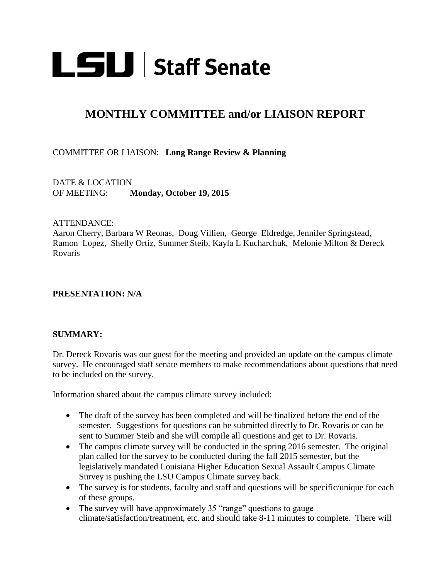

# **MONTHLY COMMITTEE and/or LIAISON REPORT**

### COMMITTEE OR LIAISON: **Long Range Review & Planning**

DATE & LOCATION OF MEETING: **Monday, October 19, 2015**

#### ATTENDANCE:

Aaron Cherry, Barbara W Reonas, Doug Villien, George Eldredge, Jennifer Springstead, Ramon Lopez, Shelly Ortiz, Summer Steib, Kayla L Kucharchuk, Melonie Milton & Dereck Rovaris

#### **PRESENTATION: N/A**

#### **SUMMARY:**

Dr. Dereck Rovaris was our guest for the meeting and provided an update on the campus climate survey. He encouraged staff senate members to make recommendations about questions that need to be included on the survey.

Information shared about the campus climate survey included:

- The draft of the survey has been completed and will be finalized before the end of the semester. Suggestions for questions can be submitted directly to Dr. Rovaris or can be sent to Summer Steib and she will compile all questions and get to Dr. Rovaris.
- The campus climate survey will be conducted in the spring 2016 semester. The original plan called for the survey to be conducted during the fall 2015 semester, but the legislatively mandated Louisiana Higher Education Sexual Assault Campus Climate Survey is pushing the LSU Campus Climate survey back.
- The survey is for students, faculty and staff and questions will be specific/unique for each of these groups.
- The survey will have approximately 35 "range" questions to gauge climate/satisfaction/treatment, etc. and should take 8-11 minutes to complete. There will